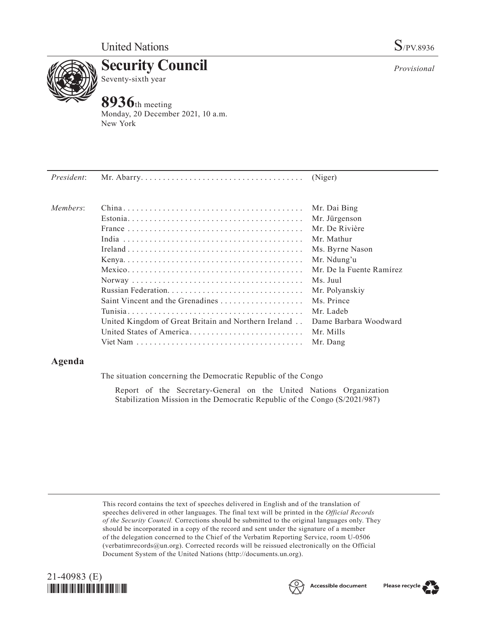

**Security Council** Seventy-sixth year

# **8936**th meeting

Monday, 20 December 2021, 10 a.m. New York

|                                                      | (Niger)                  |
|------------------------------------------------------|--------------------------|
|                                                      | Mr. Dai Bing             |
|                                                      | Mr. Jürgenson            |
|                                                      | Mr. De Rivière           |
|                                                      | Mr. Mathur               |
|                                                      | Ms. Byrne Nason          |
|                                                      | Mr. Ndung'u              |
|                                                      | Mr. De la Fuente Ramírez |
|                                                      | Ms. Juul                 |
|                                                      | Mr. Polyanskiy           |
| Saint Vincent and the Grenadines                     | Ms. Prince               |
|                                                      | Mr. Ladeb                |
| United Kingdom of Great Britain and Northern Ireland | Dame Barbara Woodward    |
| United States of America                             | Mr. Mills                |
|                                                      | Mr. Dang                 |
|                                                      |                          |

## **Agenda**

The situation concerning the Democratic Republic of the Congo

Report of the Secretary-General on the United Nations Organization Stabilization Mission in the Democratic Republic of the Congo (S/2021/987)

This record contains the text of speeches delivered in English and of the translation of speeches delivered in other languages. The final text will be printed in the *Official Records of the Security Council.* Corrections should be submitted to the original languages only. They should be incorporated in a copy of the record and sent under the signature of a member of the delegation concerned to the Chief of the Verbatim Reporting Service, room U-0506 (verbatimrecords@un.org). Corrected records will be reissued electronically on the Official Document System of the United Nations (http://documents.un.org).